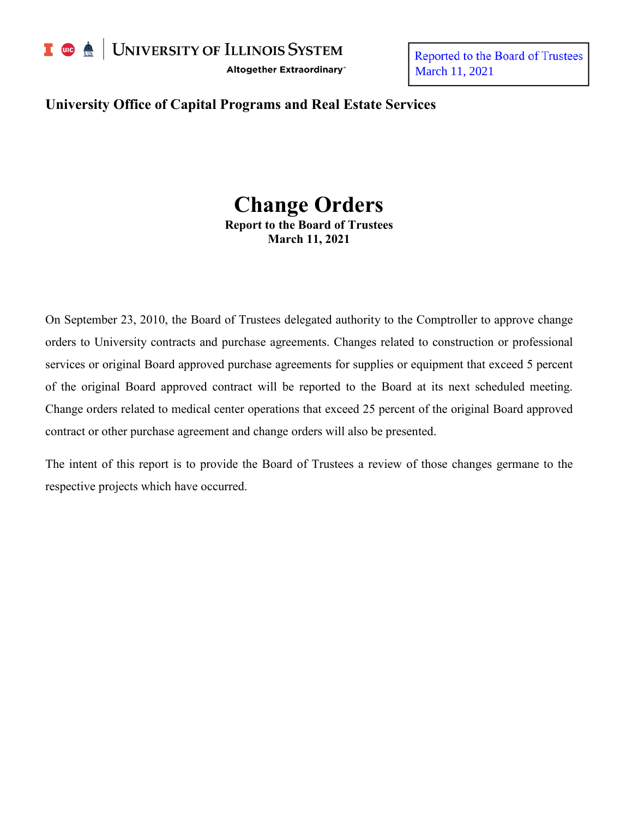

UNIVERSITY OF ILLINOIS SYSTEM

Altogether Extraordinary"

Reported to the Board of Trustees March 11, 2021

# **University Office of Capital Programs and Real Estate Services**

# **Change Orders Report to the Board of Trustees**

**March 11, 2021**

On September 23, 2010, the Board of Trustees delegated authority to the Comptroller to approve change orders to University contracts and purchase agreements. Changes related to construction or professional services or original Board approved purchase agreements for supplies or equipment that exceed 5 percent of the original Board approved contract will be reported to the Board at its next scheduled meeting. Change orders related to medical center operations that exceed 25 percent of the original Board approved contract or other purchase agreement and change orders will also be presented.

The intent of this report is to provide the Board of Trustees a review of those changes germane to the respective projects which have occurred.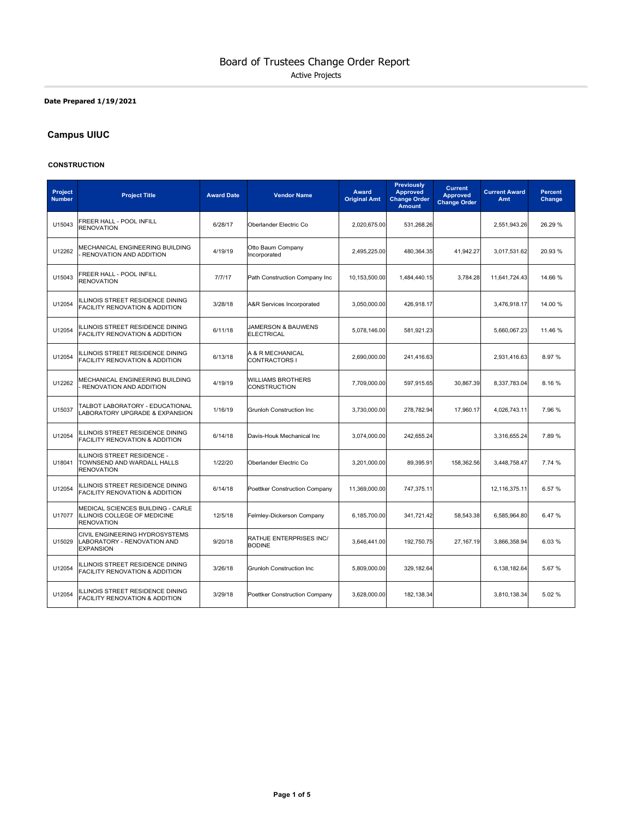# Board of Trustees Change Order Report Active Projects

### **Date Prepared 1/19/2021**

# **Campus UIUC**

#### **CONSTRUCTION**

| <b>Project</b><br><b>Number</b> | <b>Project Title</b>                                                                   | <b>Award Date</b> | <b>Vendor Name</b>                              | <b>Award</b><br><b>Original Amt</b> | <b>Previously</b><br><b>Approved</b><br><b>Change Order</b><br><b>Amount</b> | <b>Current</b><br><b>Approved</b><br><b>Change Order</b> | <b>Current Award</b><br>Amt | <b>Percent</b><br>Change |
|---------------------------------|----------------------------------------------------------------------------------------|-------------------|-------------------------------------------------|-------------------------------------|------------------------------------------------------------------------------|----------------------------------------------------------|-----------------------------|--------------------------|
| U15043                          | FREER HALL - POOL INFILL<br><b>RENOVATION</b>                                          | 6/28/17           | Oberlander Electric Co                          | 2,020,675.00                        | 531,268.26                                                                   |                                                          | 2,551,943.26                | 26.29 %                  |
| U12262                          | MECHANICAL ENGINEERING BUILDING<br>RENOVATION AND ADDITION                             | 4/19/19           | Otto Baum Company<br>Incorporated               | 2,495,225.00                        | 480,364.35                                                                   | 41,942.27                                                | 3,017,531.62                | 20.93 %                  |
| U15043                          | FREER HALL - POOL INFILL<br><b>RENOVATION</b>                                          | 7/7/17            | Path Construction Company Inc                   | 10,153,500.00                       | 1,484,440.15                                                                 | 3,784.28                                                 | 11,641,724.43               | 14.66 %                  |
| U12054                          | ILLINOIS STREET RESIDENCE DINING<br>FACILITY RENOVATION & ADDITION                     | 3/28/18           | A&R Services Incorporated                       | 3,050,000.00                        | 426,918.17                                                                   |                                                          | 3,476,918.17                | 14.00 %                  |
| U12054                          | ILLINOIS STREET RESIDENCE DINING<br>FACILITY RENOVATION & ADDITION                     | 6/11/18           | JAMERSON & BAUWENS<br><b>ELECTRICAL</b>         | 5,078,146.00                        | 581,921.23                                                                   |                                                          | 5,660,067.23                | 11.46 %                  |
| U12054                          | ILLINOIS STREET RESIDENCE DINING<br>FACILITY RENOVATION & ADDITION                     | 6/13/18           | A & R MECHANICAL<br><b>CONTRACTORS I</b>        | 2,690,000.00                        | 241,416.63                                                                   |                                                          | 2,931,416.63                | 8.97%                    |
| U12262                          | MECHANICAL ENGINEERING BUILDING<br><b>RENOVATION AND ADDITION</b>                      | 4/19/19           | <b>WILLIAMS BROTHERS</b><br><b>CONSTRUCTION</b> | 7,709,000.00                        | 597,915.65                                                                   | 30,867.39                                                | 8,337,783.04                | 8.16%                    |
| U15037                          | TALBOT LABORATORY - EDUCATIONAL<br>LABORATORY UPGRADE & EXPANSION                      | 1/16/19           | <b>Grunloh Construction Inc.</b>                | 3,730,000.00                        | 278.782.94                                                                   | 17,960.17                                                | 4,026,743.11                | 7.96 %                   |
| U12054                          | ILLINOIS STREET RESIDENCE DINING<br><b>FACILITY RENOVATION &amp; ADDITION</b>          | 6/14/18           | Davis-Houk Mechanical Inc                       | 3,074,000.00                        | 242,655.24                                                                   |                                                          | 3,316,655.24                | 7.89%                    |
| U18041                          | ILLINOIS STREET RESIDENCE -<br>TOWNSEND AND WARDALL HALLS<br><b>RENOVATION</b>         | 1/22/20           | Oberlander Electric Co                          | 3,201,000.00                        | 89,395.91                                                                    | 158,362.56                                               | 3,448,758.47                | 7.74 %                   |
| U12054                          | ILLINOIS STREET RESIDENCE DINING<br>FACILITY RENOVATION & ADDITION                     | 6/14/18           | Poettker Construction Company                   | 11,369,000.00                       | 747,375.11                                                                   |                                                          | 12,116,375.11               | 6.57%                    |
| U17077                          | MEDICAL SCIENCES BUILDING - CARLE<br>ILLINOIS COLLEGE OF MEDICINE<br><b>RENOVATION</b> | 12/5/18           | Felmley-Dickerson Company                       | 6,185,700.00                        | 341,721.42                                                                   | 58,543.38                                                | 6,585,964.80                | 6.47%                    |
| U15029                          | CIVIL ENGINEERING HYDROSYSTEMS<br>LABORATORY - RENOVATION AND<br><b>EXPANSION</b>      | 9/20/18           | RATHJE ENTERPRISES INC/<br><b>BODINE</b>        | 3,646,441.00                        | 192,750.75                                                                   | 27, 167. 19                                              | 3,866,358.94                | 6.03%                    |
| U12054                          | ILLINOIS STREET RESIDENCE DINING<br><b>FACILITY RENOVATION &amp; ADDITION</b>          | 3/26/18           | <b>Grunloh Construction Inc</b>                 | 5,809,000.00                        | 329,182.64                                                                   |                                                          | 6,138,182.64                | 5.67%                    |
| U12054                          | ILLINOIS STREET RESIDENCE DINING<br><b>FACILITY RENOVATION &amp; ADDITION</b>          | 3/29/18           | Poettker Construction Company                   | 3,628,000.00                        | 182,138.34                                                                   |                                                          | 3,810,138.34                | 5.02%                    |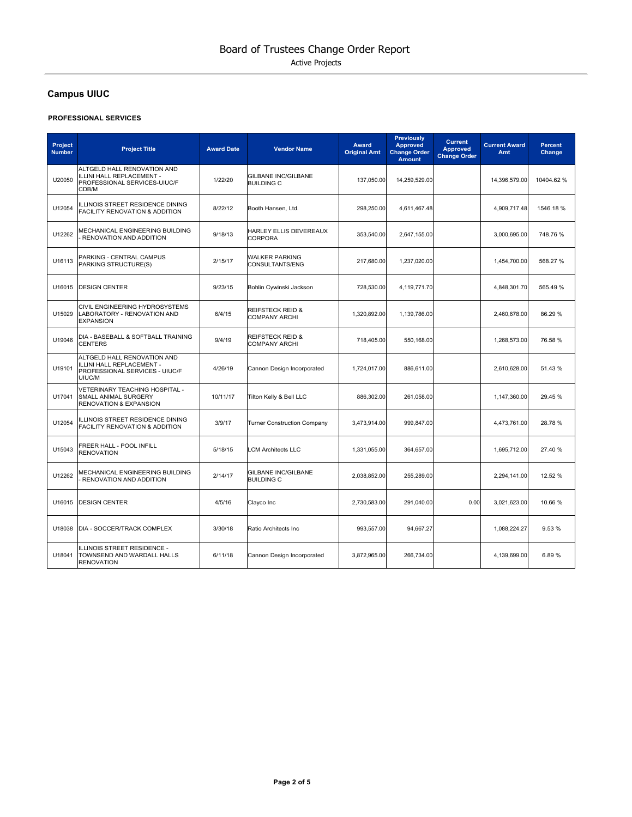# **Campus UIUC**

#### **PROFESSIONAL SERVICES**

| Project<br><b>Number</b> | <b>Project Title</b>                                                                                 | <b>Award Date</b> | <b>Vendor Name</b>                                  | Award<br><b>Original Amt</b> | <b>Previously</b><br><b>Approved</b><br><b>Change Order</b><br><b>Amount</b> | <b>Current</b><br><b>Approved</b><br><b>Change Order</b> | <b>Current Award</b><br>Amt | <b>Percent</b><br>Change |
|--------------------------|------------------------------------------------------------------------------------------------------|-------------------|-----------------------------------------------------|------------------------------|------------------------------------------------------------------------------|----------------------------------------------------------|-----------------------------|--------------------------|
| U20050                   | ALTGELD HALL RENOVATION AND<br>ILLINI HALL REPLACEMENT -<br>PROFESSIONAL SERVICES-UIUC/F<br>CDB/M    | 1/22/20           | <b>GILBANE INC/GILBANE</b><br><b>BUILDING C</b>     | 137,050.00                   | 14,259,529.00                                                                |                                                          | 14,396,579.00               | 10404.62%                |
| U12054                   | ILLINOIS STREET RESIDENCE DINING<br>FACILITY RENOVATION & ADDITION                                   | 8/22/12           | Booth Hansen, Ltd.                                  | 298,250.00                   | 4,611,467.48                                                                 |                                                          | 4,909,717.48                | 1546.18%                 |
| U12262                   | MECHANICAL ENGINEERING BUILDING<br>RENOVATION AND ADDITION                                           | 9/18/13           | HARLEY ELLIS DEVEREAUX<br><b>CORPORA</b>            | 353,540.00                   | 2,647,155.00                                                                 |                                                          | 3,000,695.00                | 748.76%                  |
| U16113                   | PARKING - CENTRAL CAMPUS<br>PARKING STRUCTURE(S)                                                     | 2/15/17           | <b>WALKER PARKING</b><br>CONSULTANTS/ENG            | 217,680.00                   | 1,237,020.00                                                                 |                                                          | 1,454,700.00                | 568.27%                  |
| U16015                   | <b>DESIGN CENTER</b>                                                                                 | 9/23/15           | Bohlin Cywinski Jackson                             | 728,530.00                   | 4,119,771.70                                                                 |                                                          | 4,848,301.70                | 565.49%                  |
| U15029                   | CIVIL ENGINEERING HYDROSYSTEMS<br>LABORATORY - RENOVATION AND<br><b>EXPANSION</b>                    | 6/4/15            | <b>REIFSTECK REID &amp;</b><br><b>COMPANY ARCHI</b> | 1,320,892.00                 | 1,139,786.00                                                                 |                                                          | 2,460,678.00                | 86.29 %                  |
| U19046                   | DIA - BASEBALL & SOFTBALL TRAINING<br><b>CENTERS</b>                                                 | 9/4/19            | <b>REIFSTECK REID &amp;</b><br><b>COMPANY ARCHI</b> | 718,405.00                   | 550,168.00                                                                   |                                                          | 1,268,573.00                | 76.58 %                  |
| U19101                   | ALTGELD HALL RENOVATION AND<br>ILLINI HALL REPLACEMENT -<br>PROFESSIONAL SERVICES - UIUC/F<br>UIUC/M | 4/26/19           | Cannon Design Incorporated                          | 1,724,017.00                 | 886,611.00                                                                   |                                                          | 2,610,628.00                | 51.43 %                  |
| U17041                   | VETERINARY TEACHING HOSPITAL -<br><b>SMALL ANIMAL SURGERY</b><br><b>RENOVATION &amp; EXPANSION</b>   | 10/11/17          | Tilton Kelly & Bell LLC                             | 886.302.00                   | 261,058.00                                                                   |                                                          | 1,147,360.00                | 29.45 %                  |
| U12054                   | ILLINOIS STREET RESIDENCE DINING<br>FACILITY RENOVATION & ADDITION                                   | 3/9/17            | <b>Turner Construction Company</b>                  | 3,473,914.00                 | 999,847.00                                                                   |                                                          | 4,473,761.00                | 28.78%                   |
| U15043                   | FREER HALL - POOL INFILL<br><b>RENOVATION</b>                                                        | 5/18/15           | <b>CM Architects LLC</b>                            | 1,331,055.00                 | 364,657.00                                                                   |                                                          | 1,695,712.00                | 27.40 %                  |
| U12262                   | MECHANICAL ENGINEERING BUILDING<br>RENOVATION AND ADDITION                                           | 2/14/17           | <b>GILBANE INC/GILBANE</b><br><b>BUILDING C</b>     | 2,038,852.00                 | 255,289.00                                                                   |                                                          | 2,294,141.00                | 12.52 %                  |
| U16015                   | <b>DESIGN CENTER</b>                                                                                 | 4/5/16            | Clayco Inc                                          | 2,730,583.00                 | 291,040.00                                                                   | 0.00                                                     | 3,021,623.00                | 10.66 %                  |
| U18038                   | DIA - SOCCER/TRACK COMPLEX                                                                           | 3/30/18           | Ratio Architects Inc                                | 993,557.00                   | 94,667.27                                                                    |                                                          | 1,088,224.27                | 9.53%                    |
| U18041                   | ILLINOIS STREET RESIDENCE -<br>TOWNSEND AND WARDALL HALLS<br><b>RENOVATION</b>                       | 6/11/18           | Cannon Design Incorporated                          | 3,872,965.00                 | 266,734.00                                                                   |                                                          | 4,139,699.00                | 6.89%                    |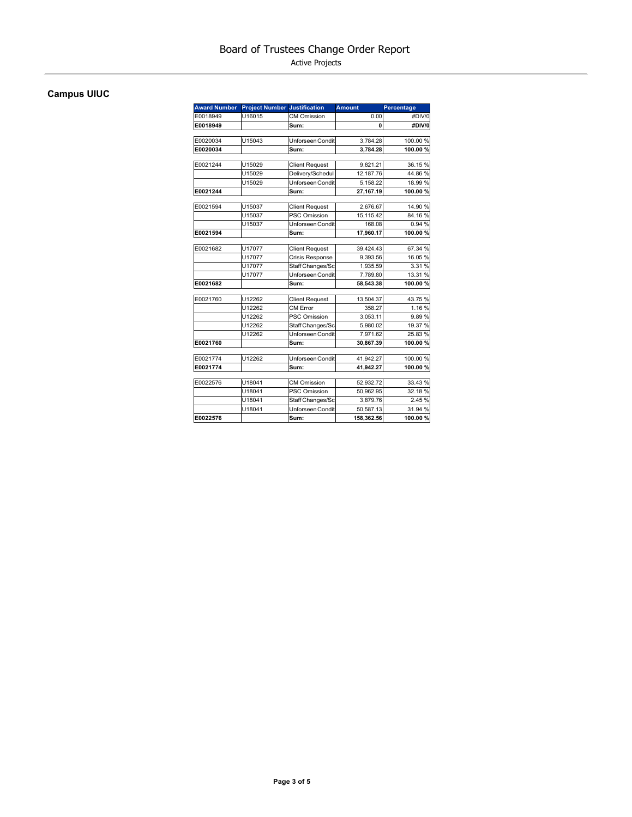# **Campus UIUC**

| <b>Award Number</b> | <b>Project Number Justification</b> |                        | <b>Amount</b> | Percentage |
|---------------------|-------------------------------------|------------------------|---------------|------------|
| E0018949            | U16015                              | <b>CM Omission</b>     | 0.00          | #DIV/0     |
| E0018949            |                                     | Sum:                   | 0             | #DIV/0     |
|                     |                                     |                        |               |            |
| E0020034            | U15043                              | Unforseen Condit       | 3,784.28      | 100.00 %   |
| E0020034            |                                     | Sum:                   | 3,784.28      | 100.00%    |
| E0021244            | U15029                              | <b>Client Request</b>  | 9,821.21      | 36.15%     |
|                     | U15029                              | Delivery/Schedul       | 12,187.76     | 44.86%     |
|                     | U15029                              | Unforseen Condit       | 5,158.22      | 18.99 %    |
| E0021244            |                                     | Sum:                   | 27,167.19     | 100.00%    |
| E0021594            | U15037                              | <b>Client Request</b>  | 2,676.67      | 14.90 %    |
|                     | U15037                              | PSC Omission           | 15,115.42     | 84.16%     |
|                     | U15037                              | Unforseen Condit       | 168.08        | 0.94 %     |
| E0021594            |                                     | Sum:                   | 17,960.17     | 100.00%    |
|                     |                                     |                        |               |            |
| E0021682            | U17077                              | <b>Client Request</b>  | 39,424.43     | 67.34 %    |
|                     | U17077                              | <b>Crisis Response</b> | 9,393.56      | 16.05 %    |
|                     | U17077                              | Staff Changes/Sc       | 1,935.59      | 3.31%      |
|                     | U17077                              | Unforseen Condit       | 7.789.80      | 13.31 %    |
| E0021682            |                                     | Sum:                   | 58,543.38     | 100.00%    |
|                     |                                     |                        |               |            |
| E0021760            | U12262                              | <b>Client Request</b>  | 13,504.37     | 43.75 %    |
|                     | U12262                              | <b>CM Error</b>        | 358.27        | 1.16 %     |
|                     | U12262                              | PSC Omission           | 3,053.11      | 9.89%      |
|                     | U12262                              | Staff Changes/Sc       | 5,980.02      | 19.37 %    |
|                     | U12262                              | Unforseen Condit       | 7,971.62      | 25.83 %    |
| E0021760            |                                     | Sum:                   | 30,867.39     | 100.00%    |
| E0021774            | U12262                              | Unforseen Condit       | 41,942.27     | 100.00 %   |
| E0021774            |                                     | Sum:                   | 41.942.27     | 100.00%    |
| E0022576            | U18041                              | <b>CM Omission</b>     | 52,932.72     | 33.43 %    |
|                     | U18041                              | PSC Omission           |               | 32.18%     |
|                     |                                     |                        | 50,962.95     |            |
|                     | U18041                              | Staff Changes/Sc       | 3.879.76      | 2.45%      |
|                     | U18041                              | Unforseen Condit       | 50,587.13     | 31.94 %    |
| E0022576            |                                     | Sum:                   | 158,362.56    | 100.00%    |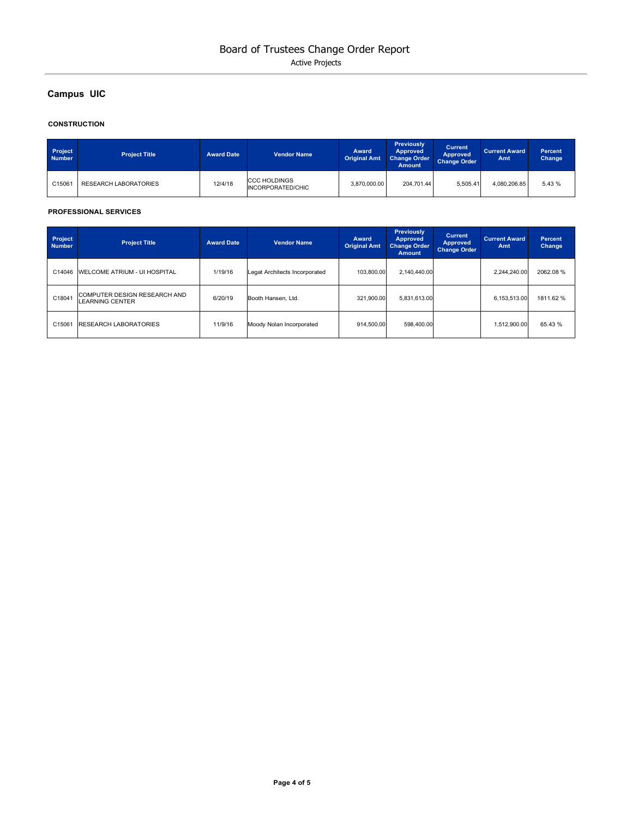# **Campus UIC**

#### **CONSTRUCTION**

| Project<br><b>Number</b> | <b>Project Title</b>         | <b>Award Date</b> | <b>Vendor Name</b>                              | Award<br><b>Original Amt</b> | Previously<br>Approved<br><b>Change Order</b><br><b>Amount</b> | <b>Current</b><br><b>Approved</b><br><b>Change Order</b> | <b>Current Award</b><br>Amt | <b>Percent</b><br>Change |
|--------------------------|------------------------------|-------------------|-------------------------------------------------|------------------------------|----------------------------------------------------------------|----------------------------------------------------------|-----------------------------|--------------------------|
| C15061                   | <b>RESEARCH LABORATORIES</b> | 12/4/18           | <b>CCC HOLDINGS</b><br><b>INCORPORATED/CHIC</b> | 3.870.000.00                 | 204.701.44                                                     | 5.505.41                                                 | 4,080,206.85                | 5.43 %                   |

#### **PROFESSIONAL SERVICES**

| Project<br><b>Number</b> | <b>Project Title</b>                                   | <b>Award Date</b> | <b>Vendor Name</b>            | Award<br><b>Original Amt</b> | <b>Previously</b><br><b>Approved</b><br><b>Change Order</b><br><b>Amount</b> | <b>Current</b><br>Approved<br><b>Change Order</b> | <b>Current Award</b><br>Amt | Percent<br>Change |
|--------------------------|--------------------------------------------------------|-------------------|-------------------------------|------------------------------|------------------------------------------------------------------------------|---------------------------------------------------|-----------------------------|-------------------|
| C14046                   | <b>WELCOME ATRIUM - UI HOSPITAL</b>                    | 1/19/16           | Legat Architects Incorporated | 103.800.00                   | 2.140.440.00                                                                 |                                                   | 2.244.240.00                | 2062.08%          |
| C18041                   | COMPUTER DESIGN RESEARCH AND<br><b>LEARNING CENTER</b> | 6/20/19           | Booth Hansen, Ltd.            | 321.900.00                   | 5,831,613.00                                                                 |                                                   | 6,153,513.00                | 1811.62 %         |
| C15061                   | <b>RESEARCH LABORATORIES</b>                           | 11/9/16           | Moody Nolan Incorporated      | 914.500.00                   | 598,400.00                                                                   |                                                   | 1.512.900.00                | 65.43 %           |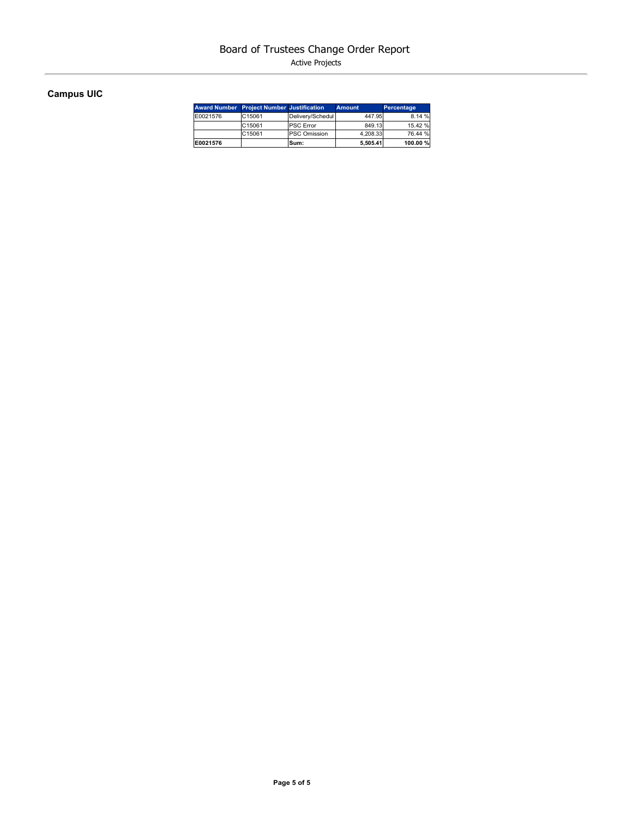# Board of Trustees Change Order Report Active Projects

# **Campus UIC**

|          | <b>Award Number Project Number Justification</b> |                     | <b>Amount</b> | Percentage |
|----------|--------------------------------------------------|---------------------|---------------|------------|
| E0021576 | C <sub>15061</sub>                               | Delivery/Schedul    | 447.95        | 8.14 %     |
|          | C15061                                           | <b>IPSC Error</b>   | 849.13        | 15.42 %    |
|          | C15061                                           | <b>PSC Omission</b> | 4.208.33      | 76.44 %    |
| E0021576 |                                                  | Sum:                | 5.505.41      | 100.00%    |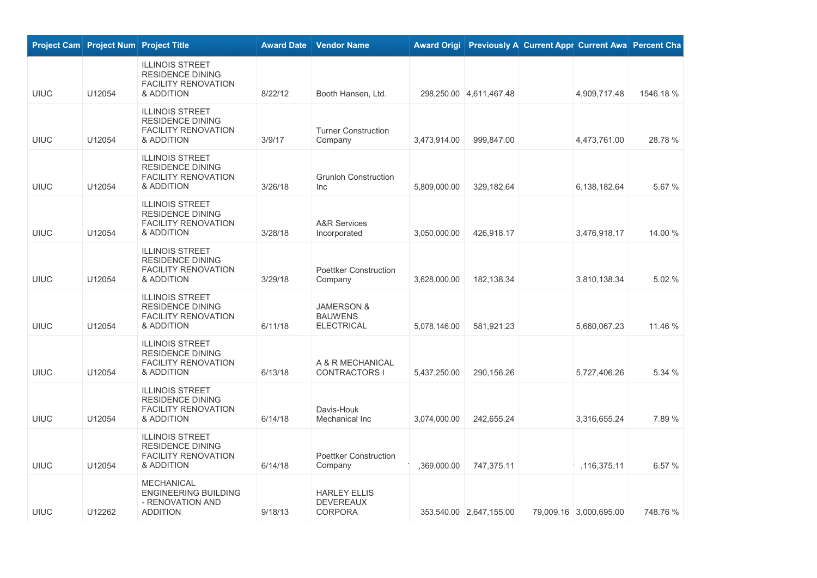|             | <b>Project Cam Project Num Project Title</b> |                                                                                               | <b>Award Date</b> | <b>Vendor Name</b>                                           |              | Award Origi   Previously A Current Appr Current Awa   Percent Cha |                        |           |
|-------------|----------------------------------------------|-----------------------------------------------------------------------------------------------|-------------------|--------------------------------------------------------------|--------------|-------------------------------------------------------------------|------------------------|-----------|
| <b>UIUC</b> | U12054                                       | <b>ILLINOIS STREET</b><br><b>RESIDENCE DINING</b><br><b>FACILITY RENOVATION</b><br>& ADDITION | 8/22/12           | Booth Hansen, Ltd.                                           |              | 298,250.00 4,611,467.48                                           | 4,909,717.48           | 1546.18 % |
| <b>UIUC</b> | U12054                                       | <b>ILLINOIS STREET</b><br><b>RESIDENCE DINING</b><br><b>FACILITY RENOVATION</b><br>& ADDITION | 3/9/17            | <b>Turner Construction</b><br>Company                        | 3,473,914.00 | 999,847.00                                                        | 4,473,761.00           | 28.78 %   |
| <b>UIUC</b> | U12054                                       | <b>ILLINOIS STREET</b><br><b>RESIDENCE DINING</b><br><b>FACILITY RENOVATION</b><br>& ADDITION | 3/26/18           | <b>Grunloh Construction</b><br><b>Inc</b>                    | 5,809,000.00 | 329,182.64                                                        | 6,138,182.64           | 5.67 %    |
| <b>UIUC</b> | U12054                                       | <b>ILLINOIS STREET</b><br><b>RESIDENCE DINING</b><br><b>FACILITY RENOVATION</b><br>& ADDITION | 3/28/18           | <b>A&amp;R Services</b><br>Incorporated                      | 3,050,000.00 | 426,918.17                                                        | 3,476,918.17           | 14.00 %   |
| <b>UIUC</b> | U12054                                       | <b>ILLINOIS STREET</b><br><b>RESIDENCE DINING</b><br><b>FACILITY RENOVATION</b><br>& ADDITION | 3/29/18           | <b>Poettker Construction</b><br>Company                      | 3,628,000.00 | 182,138.34                                                        | 3,810,138.34           | 5.02 %    |
| <b>UIUC</b> | U12054                                       | <b>ILLINOIS STREET</b><br><b>RESIDENCE DINING</b><br><b>FACILITY RENOVATION</b><br>& ADDITION | 6/11/18           | <b>JAMERSON &amp;</b><br><b>BAUWENS</b><br><b>ELECTRICAL</b> | 5,078,146.00 | 581,921.23                                                        | 5,660,067.23           | 11.46 %   |
| <b>UIUC</b> | U12054                                       | <b>ILLINOIS STREET</b><br><b>RESIDENCE DINING</b><br><b>FACILITY RENOVATION</b><br>& ADDITION | 6/13/18           | A & R MECHANICAL<br><b>CONTRACTORS I</b>                     | 5,437,250.00 | 290,156.26                                                        | 5,727,406.26           | 5.34 %    |
| <b>UIUC</b> | U12054                                       | <b>ILLINOIS STREET</b><br><b>RESIDENCE DINING</b><br><b>FACILITY RENOVATION</b><br>& ADDITION | 6/14/18           | Davis-Houk<br>Mechanical Inc                                 | 3,074,000.00 | 242,655.24                                                        | 3,316,655.24           | 7.89 %    |
| <b>UIUC</b> | U12054                                       | <b>ILLINOIS STREET</b><br><b>RESIDENCE DINING</b><br><b>FACILITY RENOVATION</b><br>& ADDITION | 6/14/18           | Poettker Construction<br>Company                             | .369,000.00  | 747,375.11                                                        | ,116,375.11            | 6.57%     |
| <b>UIUC</b> | U12262                                       | <b>MECHANICAL</b><br><b>ENGINEERING BUILDING</b><br>- RENOVATION AND<br><b>ADDITION</b>       | 9/18/13           | <b>HARLEY ELLIS</b><br><b>DEVEREAUX</b><br><b>CORPORA</b>    |              | 353,540.00 2,647,155.00                                           | 79,009.16 3,000,695.00 | 748.76 %  |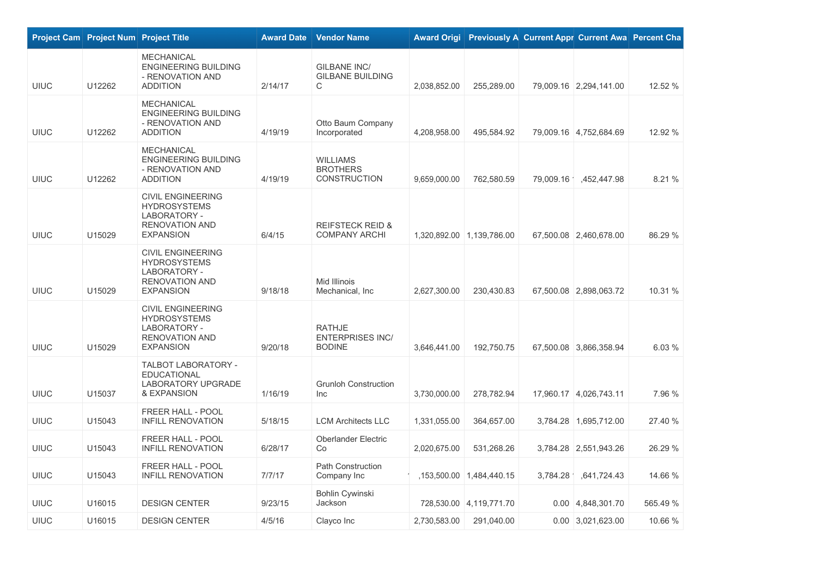|             | <b>Project Cam   Project Num   Project Title</b> |                                                                                                                     | <b>Award Date</b> | <b>Vendor Name</b>                                        |              | Award Origi   Previously A Current Appr Current Awa   Percent Cha |           |                          |          |
|-------------|--------------------------------------------------|---------------------------------------------------------------------------------------------------------------------|-------------------|-----------------------------------------------------------|--------------|-------------------------------------------------------------------|-----------|--------------------------|----------|
| <b>UIUC</b> | U12262                                           | <b>MECHANICAL</b><br><b>ENGINEERING BUILDING</b><br>- RENOVATION AND<br><b>ADDITION</b>                             | 2/14/17           | <b>GILBANE INC/</b><br><b>GILBANE BUILDING</b><br>C       | 2,038,852.00 | 255,289.00                                                        |           | 79,009.16 2,294,141.00   | 12.52 %  |
| <b>UIUC</b> | U12262                                           | <b>MECHANICAL</b><br><b>ENGINEERING BUILDING</b><br>- RENOVATION AND<br><b>ADDITION</b>                             | 4/19/19           | Otto Baum Company<br>Incorporated                         | 4,208,958.00 | 495,584.92                                                        |           | 79,009.16 4,752,684.69   | 12.92 %  |
| <b>UIUC</b> | U12262                                           | <b>MECHANICAL</b><br><b>ENGINEERING BUILDING</b><br>- RENOVATION AND<br><b>ADDITION</b>                             | 4/19/19           | <b>WILLIAMS</b><br><b>BROTHERS</b><br><b>CONSTRUCTION</b> | 9,659,000.00 | 762,580.59                                                        | 79,009.16 | .452,447.98              | 8.21 %   |
| <b>UIUC</b> | U15029                                           | <b>CIVIL ENGINEERING</b><br><b>HYDROSYSTEMS</b><br>LABORATORY -<br><b>RENOVATION AND</b><br><b>EXPANSION</b>        | 6/4/15            | <b>REIFSTECK REID &amp;</b><br><b>COMPANY ARCHI</b>       |              | 1,320,892.00 1,139,786.00                                         |           | 67,500.08 2,460,678.00   | 86.29 %  |
| <b>UIUC</b> | U15029                                           | <b>CIVIL ENGINEERING</b><br><b>HYDROSYSTEMS</b><br><b>LABORATORY -</b><br><b>RENOVATION AND</b><br><b>EXPANSION</b> | 9/18/18           | Mid Illinois<br>Mechanical, Inc                           | 2,627,300.00 | 230,430.83                                                        |           | 67,500.08 2,898,063.72   | 10.31 %  |
| <b>UIUC</b> | U15029                                           | <b>CIVIL ENGINEERING</b><br><b>HYDROSYSTEMS</b><br>LABORATORY -<br><b>RENOVATION AND</b><br><b>EXPANSION</b>        | 9/20/18           | <b>RATHJE</b><br><b>ENTERPRISES INC/</b><br><b>BODINE</b> | 3,646,441.00 | 192,750.75                                                        |           | 67,500.08 3,866,358.94   | 6.03%    |
| <b>UIUC</b> | U15037                                           | TALBOT LABORATORY -<br><b>EDUCATIONAL</b><br><b>LABORATORY UPGRADE</b><br>& EXPANSION                               | 1/16/19           | <b>Grunloh Construction</b><br><b>Inc</b>                 | 3,730,000.00 | 278,782.94                                                        |           | 17,960.17 4,026,743.11   | 7.96 %   |
| <b>UIUC</b> | U15043                                           | <b>FREER HALL - POOL</b><br><b>INFILL RENOVATION</b>                                                                | 5/18/15           | <b>LCM Architects LLC</b>                                 | 1,331,055.00 | 364,657.00                                                        |           | 3,784.28 1,695,712.00    | 27.40 %  |
| <b>UIUC</b> | U15043                                           | FREER HALL - POOL<br><b>INFILL RENOVATION</b>                                                                       | 6/28/17           | <b>Oberlander Electric</b><br>Co                          | 2,020,675.00 | 531,268.26                                                        |           | 3,784.28 2,551,943.26    | 26.29 %  |
| <b>UIUC</b> | U15043                                           | FREER HALL - POOL<br><b>INFILL RENOVATION</b>                                                                       | 7/7/17            | <b>Path Construction</b><br>Company Inc                   |              | ,153,500.00   1,484,440.15                                        | 3.784.28  | ,641,724.43              | 14.66 %  |
| <b>UIUC</b> | U16015                                           | <b>DESIGN CENTER</b>                                                                                                | 9/23/15           | Bohlin Cywinski<br>Jackson                                |              | 728,530.00 4,119,771.70                                           |           | $0.00 \mid 4,848,301.70$ | 565.49 % |
| <b>UIUC</b> | U16015                                           | <b>DESIGN CENTER</b>                                                                                                | 4/5/16            | Clayco Inc                                                | 2,730,583.00 | 291,040.00                                                        |           | $0.00$ 3,021,623.00      | 10.66 %  |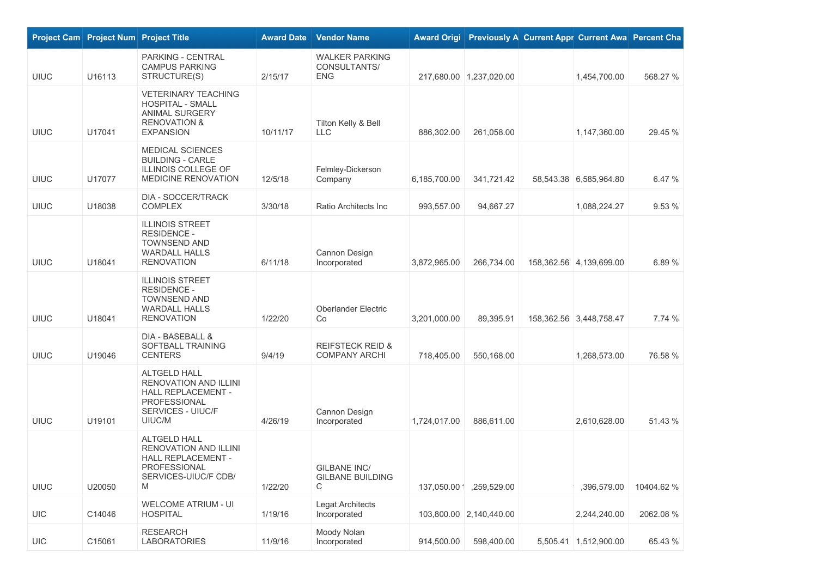|             | <b>Project Cam Project Num Project Title</b> |                                                                                                                               | <b>Award Date</b> | <b>Vendor Name</b>                                  |              | Award Origi   Previously A Current Appr Current Awa   Percent Cha |                         |            |
|-------------|----------------------------------------------|-------------------------------------------------------------------------------------------------------------------------------|-------------------|-----------------------------------------------------|--------------|-------------------------------------------------------------------|-------------------------|------------|
| <b>UIUC</b> | U16113                                       | PARKING - CENTRAL<br><b>CAMPUS PARKING</b><br>STRUCTURE(S)                                                                    | 2/15/17           | <b>WALKER PARKING</b><br>CONSULTANTS/<br><b>ENG</b> |              | 217,680.00 1,237,020.00                                           | 1,454,700.00            | 568.27 %   |
| <b>UIUC</b> | U17041                                       | <b>VETERINARY TEACHING</b><br><b>HOSPITAL - SMALL</b><br><b>ANIMAL SURGERY</b><br><b>RENOVATION &amp;</b><br><b>EXPANSION</b> | 10/11/17          | Tilton Kelly & Bell<br>LLC                          | 886,302.00   | 261,058.00                                                        | 1,147,360.00            | 29.45 %    |
| <b>UIUC</b> | U17077                                       | <b>MEDICAL SCIENCES</b><br><b>BUILDING - CARLE</b><br><b>ILLINOIS COLLEGE OF</b><br>MEDICINE RENOVATION                       | 12/5/18           | Felmley-Dickerson<br>Company                        | 6,185,700.00 | 341,721.42                                                        | 58,543.38 6,585,964.80  | 6.47 %     |
| <b>UIUC</b> | U18038                                       | DIA - SOCCER/TRACK<br><b>COMPLEX</b>                                                                                          | 3/30/18           | Ratio Architects Inc                                | 993,557.00   | 94,667.27                                                         | 1,088,224.27            | 9.53 %     |
| <b>UIUC</b> | U18041                                       | <b>ILLINOIS STREET</b><br><b>RESIDENCE -</b><br><b>TOWNSEND AND</b><br><b>WARDALL HALLS</b><br><b>RENOVATION</b>              | 6/11/18           | Cannon Design<br>Incorporated                       | 3,872,965.00 | 266,734.00                                                        | 158,362.56 4,139,699.00 | 6.89 %     |
| <b>UIUC</b> | U18041                                       | <b>ILLINOIS STREET</b><br><b>RESIDENCE -</b><br><b>TOWNSEND AND</b><br><b>WARDALL HALLS</b><br><b>RENOVATION</b>              | 1/22/20           | <b>Oberlander Electric</b><br>Co                    | 3,201,000.00 | 89,395.91                                                         | 158,362.56 3,448,758.47 | 7.74 %     |
| <b>UIUC</b> | U19046                                       | DIA - BASEBALL &<br>SOFTBALL TRAINING<br><b>CENTERS</b>                                                                       | 9/4/19            | <b>REIFSTECK REID &amp;</b><br><b>COMPANY ARCHI</b> | 718,405.00   | 550,168.00                                                        | 1,268,573.00            | 76.58 %    |
| <b>UIUC</b> | U19101                                       | <b>ALTGELD HALL</b><br>RENOVATION AND ILLINI<br><b>HALL REPLACEMENT -</b><br>PROFESSIONAL<br>SERVICES - UIUC/F<br>UIUC/M      | 4/26/19           | Cannon Design<br>Incorporated                       | 1,724,017.00 | 886.611.00                                                        | 2,610,628.00            | 51.43 %    |
| <b>UIUC</b> | U20050                                       | <b>ALTGELD HALL</b><br>RENOVATION AND ILLINI<br>HALL REPLACEMENT -<br>PROFESSIONAL<br>SERVICES-UIUC/F CDB/<br>M               | 1/22/20           | <b>GILBANE INC/</b><br><b>GILBANE BUILDING</b><br>С | 137,050.00   | ,259,529.00                                                       | ,396,579.00             | 10404.62 % |
| UIC         | C14046                                       | <b>WELCOME ATRIUM - UI</b><br><b>HOSPITAL</b>                                                                                 | 1/19/16           | Legat Architects<br>Incorporated                    |              | 103,800.00 2,140,440.00                                           | 2,244,240.00            | 2062.08 %  |
| UIC         | C15061                                       | <b>RESEARCH</b><br><b>LABORATORIES</b>                                                                                        | 11/9/16           | Moody Nolan<br>Incorporated                         | 914,500.00   | 598,400.00                                                        | 5,505.41 1,512,900.00   | 65.43 %    |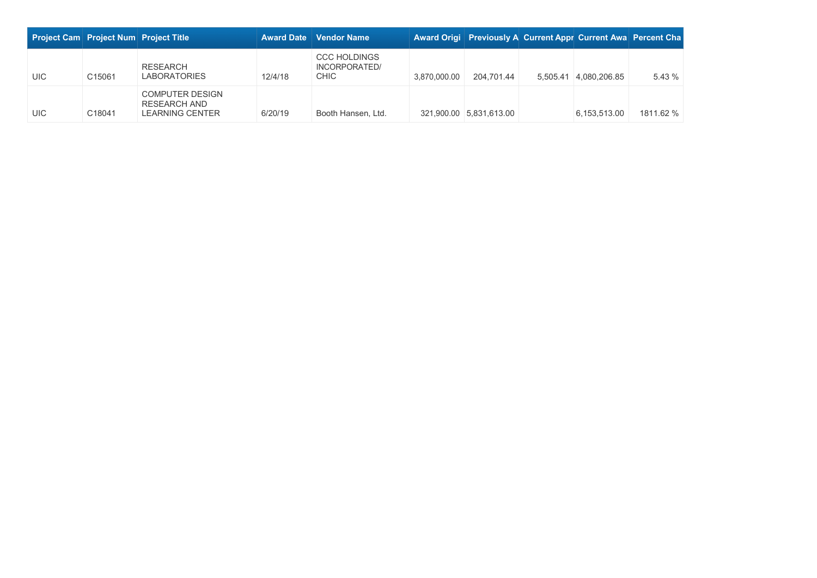|            |                    | <b>Project Cam Project Num Project Title</b>                            | <b>Award Date</b> | <b>Vendor Name</b>                                  |              | Award Origi   Previously A Current Appr Current Awa   Percent Cha |                       |           |
|------------|--------------------|-------------------------------------------------------------------------|-------------------|-----------------------------------------------------|--------------|-------------------------------------------------------------------|-----------------------|-----------|
| <b>UIC</b> | C <sub>15061</sub> | RESEARCH<br><b>LABORATORIES</b>                                         | 12/4/18           | <b>CCC HOLDINGS</b><br>INCORPORATED/<br><b>CHIC</b> | 3.870.000.00 | 204.701.44                                                        | 5.505.41 4.080.206.85 | 5.43 %    |
| <b>UIC</b> | C18041             | <b>COMPUTER DESIGN</b><br><b>RESEARCH AND</b><br><b>LEARNING CENTER</b> | 6/20/19           | Booth Hansen, Ltd.                                  |              | 321,900.00 5,831,613.00                                           | 6.153.513.00          | 1811.62 % |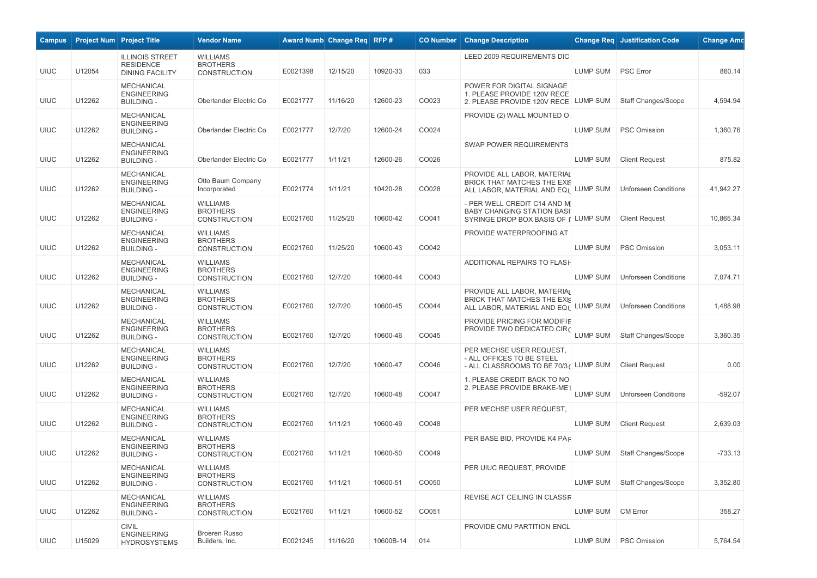| Campus      |        | <b>Project Num Project Title</b>                                     | <b>Vendor Name</b>                                        |          | Award Numb Change Req RFP # |           |       | <b>CO Number   Change Description</b>                                                                    |                     | <b>Change Reg</b> Justification Code | <b>Change Amc</b> |
|-------------|--------|----------------------------------------------------------------------|-----------------------------------------------------------|----------|-----------------------------|-----------|-------|----------------------------------------------------------------------------------------------------------|---------------------|--------------------------------------|-------------------|
| <b>UIUC</b> | U12054 | <b>ILLINOIS STREET</b><br><b>RESIDENCE</b><br><b>DINING FACILITY</b> | <b>WILLIAMS</b><br><b>BROTHERS</b><br><b>CONSTRUCTION</b> | E0021398 | 12/15/20                    | 10920-33  | 033   | LEED 2009 REQUIREMENTS DIC                                                                               | LUMP SUM  PSC Error |                                      | 860.14            |
| <b>UIUC</b> | U12262 | <b>MECHANICAL</b><br><b>ENGINEERING</b><br><b>BUILDING -</b>         | Oberlander Electric Co                                    | E0021777 | 11/16/20                    | 12600-23  | CO023 | POWER FOR DIGITAL SIGNAGE<br>1. PLEASE PROVIDE 120V RECE<br>2. PLEASE PROVIDE 120V RECE LUMP SUM         |                     | <b>Staff Changes/Scope</b>           | 4,594.94          |
| <b>UIUC</b> | U12262 | <b>MECHANICAL</b><br><b>ENGINEERING</b><br><b>BUILDING -</b>         | Oberlander Electric Co                                    | E0021777 | 12/7/20                     | 12600-24  | CO024 | PROVIDE (2) WALL MOUNTED O                                                                               | LUMP SUM            | <b>PSC Omission</b>                  | 1,360.76          |
| <b>UIUC</b> | U12262 | <b>MECHANICAL</b><br><b>ENGINEERING</b><br><b>BUILDING -</b>         | Oberlander Electric Co                                    | E0021777 | 1/11/21                     | 12600-26  | CO026 | <b>SWAP POWER REQUIREMENTS</b>                                                                           | LUMP SUM            | <b>Client Request</b>                | 875.82            |
| <b>UIUC</b> | U12262 | <b>MECHANICAL</b><br><b>ENGINEERING</b><br><b>BUILDING -</b>         | Otto Baum Company<br>Incorporated                         | E0021774 | 1/11/21                     | 10420-28  | CO028 | PROVIDE ALL LABOR, MATERIAL<br>BRICK THAT MATCHES THE EXIS<br>ALL LABOR, MATERIAL AND EQU LUMP SUM       |                     | <b>Unforseen Conditions</b>          | 41,942.27         |
| <b>UIUC</b> | U12262 | <b>MECHANICAL</b><br><b>ENGINEERING</b><br><b>BUILDING -</b>         | <b>WILLIAMS</b><br><b>BROTHERS</b><br><b>CONSTRUCTION</b> | E0021760 | 11/25/20                    | 10600-42  | CO041 | - PER WELL CREDIT C14 AND M<br><b>BABY CHANGING STATION BASI</b><br>SYRINGE DROP BOX BASIS OF [ LUMP SUM |                     | <b>Client Request</b>                | 10,865.34         |
| <b>UIUC</b> | U12262 | <b>MECHANICAL</b><br><b>ENGINEERING</b><br><b>BUILDING -</b>         | <b>WILLIAMS</b><br><b>BROTHERS</b><br><b>CONSTRUCTION</b> | E0021760 | 11/25/20                    | 10600-43  | CO042 | PROVIDE WATERPROOFING AT                                                                                 | LUMP SUM            | <b>PSC Omission</b>                  | 3,053.11          |
| <b>UIUC</b> | U12262 | <b>MECHANICAL</b><br><b>ENGINEERING</b><br><b>BUILDING -</b>         | <b>WILLIAMS</b><br><b>BROTHERS</b><br><b>CONSTRUCTION</b> | E0021760 | 12/7/20                     | 10600-44  | CO043 | ADDITIONAL REPAIRS TO FLASH                                                                              | <b>LUMP SUM</b>     | Unforseen Conditions                 | 7,074.71          |
| <b>UIUC</b> | U12262 | MECHANICAL<br><b>ENGINEERING</b><br><b>BUILDING -</b>                | <b>WILLIAMS</b><br><b>BROTHERS</b><br><b>CONSTRUCTION</b> | E0021760 | 12/7/20                     | 10600-45  | CO044 | PROVIDE ALL LABOR, MATERIAL<br>BRICK THAT MATCHES THE EXIS<br>ALL LABOR, MATERIAL AND EQU LUMP SUM       |                     | <b>Unforseen Conditions</b>          | 1,488.98          |
| <b>UIUC</b> | U12262 | <b>MECHANICAL</b><br><b>ENGINEERING</b><br><b>BUILDING -</b>         | <b>WILLIAMS</b><br><b>BROTHERS</b><br><b>CONSTRUCTION</b> | E0021760 | 12/7/20                     | 10600-46  | CO045 | PROVIDE PRICING FOR MODIFIE<br>PROVIDE TWO DEDICATED CIR(                                                | LUMP SUM            | <b>Staff Changes/Scope</b>           | 3,360.35          |
| <b>UIUC</b> | U12262 | <b>MECHANICAL</b><br><b>ENGINEERING</b><br><b>BUILDING -</b>         | <b>WILLIAMS</b><br><b>BROTHERS</b><br><b>CONSTRUCTION</b> | E0021760 | 12/7/20                     | 10600-47  | CO046 | PER MECHSE USER REQUEST,<br>- ALL OFFICES TO BE STEEL<br>- ALL CLASSROOMS TO BE 70/30 LUMP SUM           |                     | <b>Client Request</b>                | 0.00              |
| <b>UIUC</b> | U12262 | <b>MECHANICAL</b><br><b>ENGINEERING</b><br><b>BUILDING -</b>         | <b>WILLIAMS</b><br><b>BROTHERS</b><br><b>CONSTRUCTION</b> | E0021760 | 12/7/20                     | 10600-48  | CO047 | 1. PLEASE CREDIT BACK TO NO<br>2. PLEASE PROVIDE BRAKE-ME1                                               | LUMP SUM            | <b>Unforseen Conditions</b>          | $-592.07$         |
| <b>UIUC</b> | U12262 | <b>MECHANICAL</b><br><b>ENGINEERING</b><br><b>BUILDING -</b>         | <b>WILLIAMS</b><br><b>BROTHERS</b><br><b>CONSTRUCTION</b> | E0021760 | 1/11/21                     | 10600-49  | CO048 | PER MECHSE USER REQUEST,                                                                                 | LUMP SUM            | <b>Client Request</b>                | 2,639.03          |
| <b>UIUC</b> | U12262 | MECHANICAL<br><b>ENGINEERING</b><br><b>BUILDING -</b>                | <b>WILLIAMS</b><br><b>BROTHERS</b><br><b>CONSTRUCTION</b> | E0021760 | 1/11/21                     | 10600-50  | CO049 | PER BASE BID, PROVIDE K4 PAF                                                                             | LUMP SUM            | <b>Staff Changes/Scope</b>           | -733.13           |
| <b>UIUC</b> | U12262 | MECHANICAL<br><b>ENGINEERING</b><br><b>BUILDING -</b>                | WILLIAMS<br><b>BROTHERS</b><br>CONSTRUCTION               | E0021760 | 1/11/21                     | 10600-51  | CO050 | PER UIUC REQUEST, PROVIDE                                                                                |                     | LUMP SUM Staff Changes/Scope         | 3,352.80          |
| <b>UIUC</b> | U12262 | <b>MECHANICAL</b><br><b>ENGINEERING</b><br><b>BUILDING -</b>         | <b>WILLIAMS</b><br><b>BROTHERS</b><br><b>CONSTRUCTION</b> | E0021760 | 1/11/21                     | 10600-52  | CO051 | REVISE ACT CEILING IN CLASS F                                                                            | LUMP SUM CM Error   |                                      | 358.27            |
| <b>UIUC</b> | U15029 | <b>CIVIL</b><br><b>ENGINEERING</b><br><b>HYDROSYSTEMS</b>            | <b>Broeren Russo</b><br>Builders, Inc.                    | E0021245 | 11/16/20                    | 10600B-14 | 014   | PROVIDE CMU PARTITION ENCL                                                                               |                     | LUMP SUM PSC Omission                | 5,764.54          |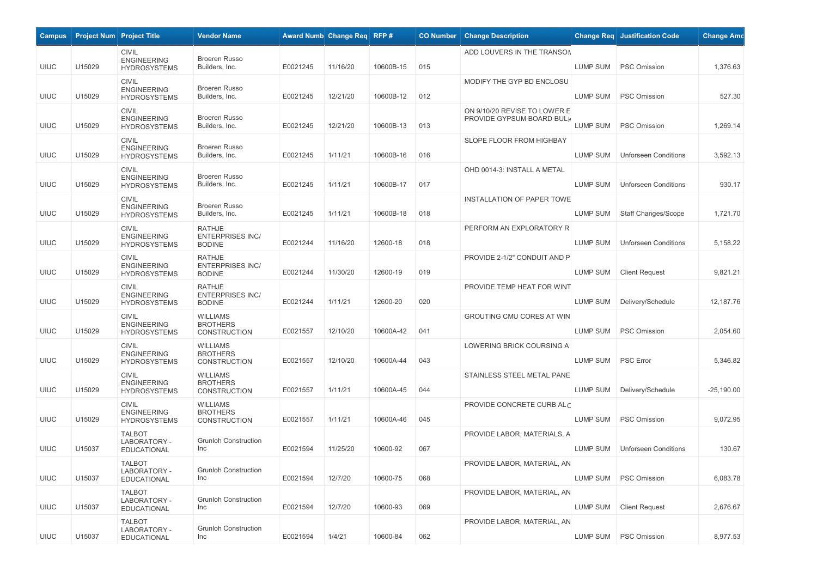| <b>Campus</b> |        | <b>Project Num</b> Project Title                          | <b>Vendor Name</b>                                        |          | Award Numb Change Req RFP # |           |     | <b>CO Number   Change Description</b>                                 | <b>Change Reg</b> Justification Code | <b>Change Amc</b> |
|---------------|--------|-----------------------------------------------------------|-----------------------------------------------------------|----------|-----------------------------|-----------|-----|-----------------------------------------------------------------------|--------------------------------------|-------------------|
| <b>UIUC</b>   | U15029 | <b>CIVIL</b><br><b>ENGINEERING</b><br><b>HYDROSYSTEMS</b> | <b>Broeren Russo</b><br>Builders, Inc.                    | E0021245 | 11/16/20                    | 10600B-15 | 015 | ADD LOUVERS IN THE TRANSON<br>LUMP SUM                                | <b>PSC Omission</b>                  | 1,376.63          |
| <b>UIUC</b>   | U15029 | <b>CIVIL</b><br><b>ENGINEERING</b><br><b>HYDROSYSTEMS</b> | <b>Broeren Russo</b><br>Builders, Inc.                    | E0021245 | 12/21/20                    | 10600B-12 | 012 | MODIFY THE GYP BD ENCLOSU<br>LUMP SUM                                 | <b>PSC Omission</b>                  | 527.30            |
| <b>UIUC</b>   | U15029 | <b>CIVIL</b><br><b>ENGINEERING</b><br><b>HYDROSYSTEMS</b> | <b>Broeren Russo</b><br>Builders, Inc.                    | E0021245 | 12/21/20                    | 10600B-13 | 013 | ON 9/10/20 REVISE TO LOWER E<br>PROVIDE GYPSUM BOARD BULK<br>LUMP SUM | <b>PSC Omission</b>                  | 1,269.14          |
| <b>UIUC</b>   | U15029 | <b>CIVIL</b><br><b>ENGINEERING</b><br><b>HYDROSYSTEMS</b> | <b>Broeren Russo</b><br>Builders, Inc.                    | E0021245 | 1/11/21                     | 10600B-16 | 016 | SLOPE FLOOR FROM HIGHBAY<br>LUMP SUM                                  | <b>Unforseen Conditions</b>          | 3,592.13          |
| <b>UIUC</b>   | U15029 | <b>CIVIL</b><br><b>ENGINEERING</b><br><b>HYDROSYSTEMS</b> | <b>Broeren Russo</b><br>Builders, Inc.                    | E0021245 | 1/11/21                     | 10600B-17 | 017 | OHD 0014-3: INSTALL A METAL<br>LUMP SUM                               | <b>Unforseen Conditions</b>          | 930.17            |
| <b>UIUC</b>   | U15029 | <b>CIVIL</b><br><b>ENGINEERING</b><br><b>HYDROSYSTEMS</b> | <b>Broeren Russo</b><br>Builders, Inc.                    | E0021245 | 1/11/21                     | 10600B-18 | 018 | <b>INSTALLATION OF PAPER TOWE</b><br>LUMP SUM                         | <b>Staff Changes/Scope</b>           | 1,721.70          |
| <b>UIUC</b>   | U15029 | <b>CIVIL</b><br><b>ENGINEERING</b><br><b>HYDROSYSTEMS</b> | <b>RATHJE</b><br><b>ENTERPRISES INC/</b><br><b>BODINE</b> | E0021244 | 11/16/20                    | 12600-18  | 018 | PERFORM AN EXPLORATORY R<br><b>LUMP SUM</b>                           | <b>Unforseen Conditions</b>          | 5,158.22          |
| <b>UIUC</b>   | U15029 | <b>CIVIL</b><br><b>ENGINEERING</b><br><b>HYDROSYSTEMS</b> | <b>RATHJE</b><br><b>ENTERPRISES INC/</b><br><b>BODINE</b> | E0021244 | 11/30/20                    | 12600-19  | 019 | PROVIDE 2-1/2" CONDUIT AND P<br><b>LUMP SUM</b>                       | <b>Client Request</b>                | 9,821.21          |
| <b>UIUC</b>   | U15029 | <b>CIVIL</b><br><b>ENGINEERING</b><br><b>HYDROSYSTEMS</b> | <b>RATHJE</b><br><b>ENTERPRISES INC/</b><br><b>BODINE</b> | E0021244 | 1/11/21                     | 12600-20  | 020 | PROVIDE TEMP HEAT FOR WINT<br>LUMP SUM                                | Delivery/Schedule                    | 12,187.76         |
| <b>UIUC</b>   | U15029 | <b>CIVIL</b><br><b>ENGINEERING</b><br><b>HYDROSYSTEMS</b> | <b>WILLIAMS</b><br><b>BROTHERS</b><br><b>CONSTRUCTION</b> | E0021557 | 12/10/20                    | 10600A-42 | 041 | <b>GROUTING CMU CORES AT WIN</b><br>LUMP SUM                          | <b>PSC Omission</b>                  | 2,054.60          |
| <b>UIUC</b>   | U15029 | <b>CIVIL</b><br><b>ENGINEERING</b><br><b>HYDROSYSTEMS</b> | <b>WILLIAMS</b><br><b>BROTHERS</b><br><b>CONSTRUCTION</b> | E0021557 | 12/10/20                    | 10600A-44 | 043 | LOWERING BRICK COURSING A<br>LUMP SUM                                 | <b>PSC Error</b>                     | 5,346.82          |
| <b>UIUC</b>   | U15029 | <b>CIVIL</b><br><b>ENGINEERING</b><br><b>HYDROSYSTEMS</b> | <b>WILLIAMS</b><br><b>BROTHERS</b><br><b>CONSTRUCTION</b> | E0021557 | 1/11/21                     | 10600A-45 | 044 | STAINLESS STEEL METAL PANE<br>LUMP SUM                                | Delivery/Schedule                    | $-25,190.00$      |
| <b>UIUC</b>   | U15029 | <b>CIVIL</b><br><b>ENGINEERING</b><br><b>HYDROSYSTEMS</b> | <b>WILLIAMS</b><br><b>BROTHERS</b><br><b>CONSTRUCTION</b> | E0021557 | 1/11/21                     | 10600A-46 | 045 | PROVIDE CONCRETE CURB ALC<br><b>LUMP SUM</b>                          | <b>PSC Omission</b>                  | 9,072.95          |
| <b>UIUC</b>   | U15037 | <b>TALBOT</b><br>LABORATORY -<br><b>EDUCATIONAL</b>       | <b>Grunloh Construction</b><br>Inc                        | E0021594 | 11/25/20                    | 10600-92  | 067 | PROVIDE LABOR, MATERIALS, A<br>LUMP SUM                               | <b>Unforseen Conditions</b>          | 130.67            |
| <b>UIUC</b>   | U15037 | <b>TALBOT</b><br>LABORATORY -<br><b>EDUCATIONAL</b>       | <b>Grunloh Construction</b><br>Inc                        | E0021594 | 12/7/20                     | 10600-75  | 068 | PROVIDE LABOR, MATERIAL, AN                                           | LUMP SUM  PSC Omission               | 6,083.78          |
| <b>UIUC</b>   | U15037 | <b>TALBOT</b><br>LABORATORY -<br><b>EDUCATIONAL</b>       | <b>Grunloh Construction</b><br>Inc                        | E0021594 | 12/7/20                     | 10600-93  | 069 | PROVIDE LABOR, MATERIAL, AN                                           | LUMP SUM Client Request              | 2,676.67          |
| <b>UIUC</b>   | U15037 | <b>TALBOT</b><br>LABORATORY -<br><b>EDUCATIONAL</b>       | <b>Grunloh Construction</b><br>Inc                        | E0021594 | 1/4/21                      | 10600-84  | 062 | PROVIDE LABOR, MATERIAL, AN                                           | LUMP SUM PSC Omission                | 8,977.53          |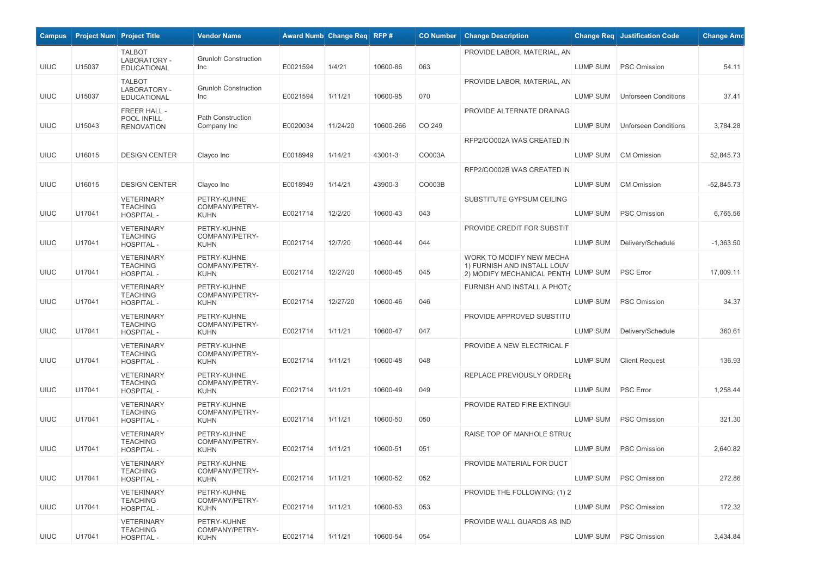| Campus      | <b>Project Num Project Title</b> |                                                           | <b>Vendor Name</b>                           |          | Award Numb Change Req RFP # |           |        | <b>CO Number   Change Description</b>                                                          |                 | <b>Change Reg</b> Justification Code | <b>Change Amc</b> |
|-------------|----------------------------------|-----------------------------------------------------------|----------------------------------------------|----------|-----------------------------|-----------|--------|------------------------------------------------------------------------------------------------|-----------------|--------------------------------------|-------------------|
|             |                                  | <b>TALBOT</b><br>LABORATORY -                             | <b>Grunloh Construction</b>                  |          |                             |           |        | PROVIDE LABOR, MATERIAL, AN                                                                    |                 |                                      |                   |
| <b>UIUC</b> | U15037                           | <b>EDUCATIONAL</b>                                        | Inc                                          | E0021594 | 1/4/21                      | 10600-86  | 063    |                                                                                                | LUMP SUM        | <b>PSC Omission</b>                  | 54.11             |
|             |                                  | <b>TALBOT</b><br>LABORATORY -                             | <b>Grunloh Construction</b>                  |          |                             |           |        | PROVIDE LABOR, MATERIAL, AN                                                                    |                 |                                      |                   |
| <b>UIUC</b> | U15037                           | <b>EDUCATIONAL</b>                                        | Inc                                          | E0021594 | 1/11/21                     | 10600-95  | 070    |                                                                                                | LUMP SUM        | <b>Unforseen Conditions</b>          | 37.41             |
| <b>UIUC</b> | U15043                           | FREER HALL -<br>POOL INFILL<br><b>RENOVATION</b>          | Path Construction<br>Company Inc             | E0020034 | 11/24/20                    | 10600-266 | CO 249 | PROVIDE ALTERNATE DRAINAG                                                                      | LUMP SUM        | <b>Unforseen Conditions</b>          | 3,784.28          |
|             |                                  |                                                           |                                              |          |                             |           |        | RFP2/CO002A WAS CREATED IN                                                                     |                 |                                      |                   |
| <b>UIUC</b> | U16015                           | <b>DESIGN CENTER</b>                                      | Clayco Inc                                   | E0018949 | 1/14/21                     | 43001-3   | CO003A |                                                                                                | <b>LUMP SUM</b> | <b>CM Omission</b>                   | 52,845.73         |
|             |                                  |                                                           |                                              |          |                             |           |        | RFP2/CO002B WAS CREATED IN                                                                     |                 |                                      |                   |
| <b>UIUC</b> | U16015                           | <b>DESIGN CENTER</b>                                      | Clayco Inc                                   | E0018949 | 1/14/21                     | 43900-3   | CO003B |                                                                                                | LUMP SUM        | <b>CM Omission</b>                   | $-52,845.73$      |
| <b>UIUC</b> | U17041                           | <b>VETERINARY</b><br><b>TEACHING</b><br><b>HOSPITAL -</b> | PETRY-KUHNE<br>COMPANY/PETRY-<br><b>KUHN</b> | E0021714 | 12/2/20                     | 10600-43  | 043    | SUBSTITUTE GYPSUM CEILING                                                                      | <b>LUMP SUM</b> | <b>PSC Omission</b>                  | 6,765.56          |
|             |                                  | <b>VETERINARY</b>                                         | PETRY-KUHNE                                  |          |                             |           |        | PROVIDE CREDIT FOR SUBSTIT                                                                     |                 |                                      |                   |
| <b>UIUC</b> | U17041                           | <b>TEACHING</b><br>HOSPITAL -                             | COMPANY/PETRY-<br><b>KUHN</b>                | E0021714 | 12/7/20                     | 10600-44  | 044    |                                                                                                | LUMP SUM        | Delivery/Schedule                    | $-1,363.50$       |
| <b>UIUC</b> | U17041                           | <b>VETERINARY</b><br><b>TEACHING</b><br>HOSPITAL -        | PETRY-KUHNE<br>COMPANY/PETRY-<br><b>KUHN</b> | E0021714 | 12/27/20                    | 10600-45  | 045    | WORK TO MODIFY NEW MECHA<br>1) FURNISH AND INSTALL LOUV<br>2) MODIFY MECHANICAL PENTH LUMP SUM |                 | <b>PSC</b> Error                     | 17,009.11         |
|             |                                  | <b>VETERINARY</b><br><b>TEACHING</b>                      | PETRY-KUHNE                                  |          |                             |           |        | FURNISH AND INSTALL A PHOTO                                                                    |                 |                                      |                   |
| <b>UIUC</b> | U17041                           | <b>HOSPITAL -</b>                                         | COMPANY/PETRY-<br><b>KUHN</b>                | E0021714 | 12/27/20                    | 10600-46  | 046    |                                                                                                | LUMP SUM        | <b>PSC Omission</b>                  | 34.37             |
| <b>UIUC</b> | U17041                           | <b>VETERINARY</b><br><b>TEACHING</b><br>HOSPITAL -        | PETRY-KUHNE<br>COMPANY/PETRY-<br><b>KUHN</b> | E0021714 | 1/11/21                     | 10600-47  | 047    | PROVIDE APPROVED SUBSTITU                                                                      | LUMP SUM        | Delivery/Schedule                    | 360.61            |
|             |                                  | <b>VETERINARY</b>                                         | PETRY-KUHNE                                  |          |                             |           |        | PROVIDE A NEW ELECTRICAL F                                                                     |                 |                                      |                   |
| <b>UIUC</b> | U17041                           | <b>TEACHING</b><br>HOSPITAL -                             | COMPANY/PETRY-<br><b>KUHN</b>                | E0021714 | 1/11/21                     | 10600-48  | 048    |                                                                                                | LUMP SUM        | <b>Client Request</b>                | 136.93            |
|             |                                  | <b>VETERINARY</b>                                         | PETRY-KUHNE                                  |          |                             |           |        | REPLACE PREVIOUSLY ORDER E                                                                     |                 |                                      |                   |
| <b>UIUC</b> | U17041                           | <b>TEACHING</b><br>HOSPITAL -                             | COMPANY/PETRY-<br><b>KUHN</b>                | E0021714 | 1/11/21                     | 10600-49  | 049    |                                                                                                | LUMP SUM        | <b>PSC Error</b>                     | 1,258.44          |
| <b>UIUC</b> | U17041                           | <b>VETERINARY</b><br><b>TEACHING</b><br><b>HOSPITAL -</b> | PETRY-KUHNE<br>COMPANY/PETRY-<br><b>KUHN</b> | E0021714 | 1/11/21                     | 10600-50  | 050    | PROVIDE RATED FIRE EXTINGUI                                                                    | LUMP SUM        | <b>PSC Omission</b>                  | 321.30            |
|             |                                  | <b>VETERINARY</b>                                         | PETRY-KUHNE                                  |          |                             |           |        | RAISE TOP OF MANHOLE STRU                                                                      |                 |                                      |                   |
| <b>UIUC</b> | U17041                           | <b>TEACHING</b><br>HOSPITAL -                             | COMPANY/PETRY-<br><b>KUHN</b>                | E0021714 | 1/11/21                     | 10600-51  | 051    |                                                                                                | LUMP SUM        | <b>PSC Omission</b>                  | 2,640.82          |
|             |                                  | VETERINARY<br><b>TEACHING</b>                             | PETRY-KUHNE<br>COMPANY/PETRY-                |          |                             |           |        | PROVIDE MATERIAL FOR DUCT                                                                      |                 |                                      |                   |
| <b>UIUC</b> | U17041                           | HOSPITAL -                                                | <b>KUHN</b>                                  | E0021714 | 1/11/21                     | 10600-52  | 052    |                                                                                                |                 | LUMP SUM PSC Omission                | 272.86            |
|             |                                  | <b>VETERINARY</b><br><b>TEACHING</b>                      | PETRY-KUHNE<br>COMPANY/PETRY-                |          |                             |           |        | PROVIDE THE FOLLOWING: (1) 2                                                                   |                 |                                      |                   |
| <b>UIUC</b> | U17041                           | HOSPITAL -                                                | <b>KUHN</b>                                  | E0021714 | 1/11/21                     | 10600-53  | 053    |                                                                                                |                 | LUMP SUM  PSC Omission               | 172.32            |
| <b>UIUC</b> | U17041                           | VETERINARY<br><b>TEACHING</b><br>HOSPITAL -               | PETRY-KUHNE<br>COMPANY/PETRY-<br>KUHN        | E0021714 | 1/11/21                     | 10600-54  | 054    | PROVIDE WALL GUARDS AS IND                                                                     |                 | LUMP SUM PSC Omission                | 3,434.84          |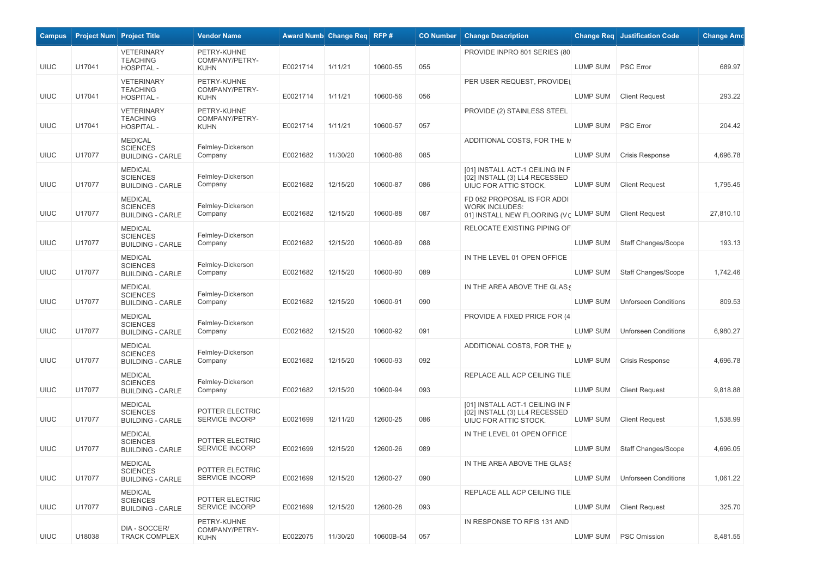| <b>Campus</b> |        | <b>Project Num Project Title</b>                             | <b>Vendor Name</b>                           |          | Award Numb Change Reg RFP # |           |     | <b>CO Number   Change Description</b>                                                                 | <b>Change Reg</b> Justification Code | <b>Change Amc</b> |
|---------------|--------|--------------------------------------------------------------|----------------------------------------------|----------|-----------------------------|-----------|-----|-------------------------------------------------------------------------------------------------------|--------------------------------------|-------------------|
| <b>UIUC</b>   | U17041 | <b>VETERINARY</b><br><b>TEACHING</b><br>HOSPITAL -           | PETRY-KUHNE<br>COMPANY/PETRY-<br><b>KUHN</b> | E0021714 | 1/11/21                     | 10600-55  | 055 | PROVIDE INPRO 801 SERIES (80<br><b>LUMP SUM</b>                                                       | <b>PSC Error</b>                     | 689.97            |
| <b>UIUC</b>   | U17041 | <b>VETERINARY</b><br><b>TEACHING</b><br><b>HOSPITAL -</b>    | PETRY-KUHNE<br>COMPANY/PETRY-<br><b>KUHN</b> | E0021714 | 1/11/21                     | 10600-56  | 056 | PER USER REQUEST, PROVIDEL<br>LUMP SUM                                                                | <b>Client Request</b>                | 293.22            |
| <b>UIUC</b>   | U17041 | <b>VETERINARY</b><br><b>TEACHING</b><br>HOSPITAL -           | PETRY-KUHNE<br>COMPANY/PETRY-<br>KUHN        | E0021714 | 1/11/21                     | 10600-57  | 057 | PROVIDE (2) STAINLESS STEEL<br>LUMP SUM                                                               | <b>PSC Error</b>                     | 204.42            |
| <b>UIUC</b>   | U17077 | <b>MEDICAL</b><br><b>SCIENCES</b><br><b>BUILDING - CARLE</b> | Felmlev-Dickerson<br>Company                 | E0021682 | 11/30/20                    | 10600-86  | 085 | ADDITIONAL COSTS, FOR THE M<br>LUMP SUM                                                               | <b>Crisis Response</b>               | 4,696.78          |
| <b>UIUC</b>   | U17077 | <b>MEDICAL</b><br><b>SCIENCES</b><br><b>BUILDING - CARLE</b> | Felmley-Dickerson<br>Company                 | E0021682 | 12/15/20                    | 10600-87  | 086 | [01] INSTALL ACT-1 CEILING IN F<br>[02] INSTALL (3) LL4 RECESSED<br>LUMP SUM<br>UIUC FOR ATTIC STOCK. | <b>Client Request</b>                | 1,795.45          |
| <b>UIUC</b>   | U17077 | <b>MEDICAL</b><br><b>SCIENCES</b><br><b>BUILDING - CARLE</b> | Felmley-Dickerson<br>Company                 | E0021682 | 12/15/20                    | 10600-88  | 087 | FD 052 PROPOSAL IS FOR ADDI<br><b>WORK INCLUDES:</b><br>01] INSTALL NEW FLOORING (VC LUMP SUM         | <b>Client Request</b>                | 27,810.10         |
| <b>UIUC</b>   | U17077 | <b>MEDICAL</b><br><b>SCIENCES</b><br><b>BUILDING - CARLE</b> | Felmley-Dickerson<br>Company                 | E0021682 | 12/15/20                    | 10600-89  | 088 | RELOCATE EXISTING PIPING OF<br>LUMP SUM                                                               | <b>Staff Changes/Scope</b>           | 193.13            |
| <b>UIUC</b>   | U17077 | <b>MEDICAL</b><br><b>SCIENCES</b><br><b>BUILDING - CARLE</b> | Felmley-Dickerson<br>Company                 | E0021682 | 12/15/20                    | 10600-90  | 089 | IN THE LEVEL 01 OPEN OFFICE<br>LUMP SUM                                                               | Staff Changes/Scope                  | 1,742.46          |
| <b>UIUC</b>   | U17077 | <b>MEDICAL</b><br><b>SCIENCES</b><br><b>BUILDING - CARLE</b> | Felmley-Dickerson<br>Company                 | E0021682 | 12/15/20                    | 10600-91  | 090 | IN THE AREA ABOVE THE GLASS<br>LUMP SUM                                                               | <b>Unforseen Conditions</b>          | 809.53            |
| <b>UIUC</b>   | U17077 | <b>MEDICAL</b><br><b>SCIENCES</b><br><b>BUILDING - CARLE</b> | Felmley-Dickerson<br>Company                 | E0021682 | 12/15/20                    | 10600-92  | 091 | PROVIDE A FIXED PRICE FOR (4<br>LUMP SUM                                                              | <b>Unforseen Conditions</b>          | 6,980.27          |
| <b>UIUC</b>   | U17077 | <b>MEDICAL</b><br><b>SCIENCES</b><br><b>BUILDING - CARLE</b> | Felmley-Dickerson<br>Company                 | E0021682 | 12/15/20                    | 10600-93  | 092 | ADDITIONAL COSTS, FOR THE N<br>LUMP SUM                                                               | <b>Crisis Response</b>               | 4,696.78          |
| <b>UIUC</b>   | U17077 | <b>MEDICAL</b><br><b>SCIENCES</b><br><b>BUILDING - CARLE</b> | Felmley-Dickerson<br>Company                 | E0021682 | 12/15/20                    | 10600-94  | 093 | REPLACE ALL ACP CEILING TILE<br>LUMP SUM                                                              | <b>Client Request</b>                | 9,818.88          |
| <b>UIUC</b>   | U17077 | <b>MEDICAL</b><br><b>SCIENCES</b><br><b>BUILDING - CARLE</b> | POTTER ELECTRIC<br><b>SERVICE INCORP</b>     | E0021699 | 12/11/20                    | 12600-25  | 086 | [01] INSTALL ACT-1 CEILING IN F<br>[02] INSTALL (3) LL4 RECESSED<br>LUMP SUM<br>UIUC FOR ATTIC STOCK. | <b>Client Request</b>                | 1,538.99          |
| <b>UIUC</b>   | U17077 | <b>MEDICAL</b><br><b>SCIENCES</b><br><b>BUILDING - CARLE</b> | POTTER ELECTRIC<br><b>SERVICE INCORP</b>     | E0021699 | 12/15/20                    | 12600-26  | 089 | IN THE LEVEL 01 OPEN OFFICE<br><b>LUMP SUM</b>                                                        | <b>Staff Changes/Scope</b>           | 4,696.05          |
| <b>UIUC</b>   | U17077 | <b>MEDICAL</b><br><b>SCIENCES</b><br><b>BUILDING - CARLE</b> | POTTER ELECTRIC<br><b>SERVICE INCORP</b>     | E0021699 | 12/15/20                    | 12600-27  | 090 | IN THE AREA ABOVE THE GLAS                                                                            | LUMP SUM Unforseen Conditions        | 1,061.22          |
| <b>UIUC</b>   | U17077 | <b>MEDICAL</b><br><b>SCIENCES</b><br><b>BUILDING - CARLE</b> | POTTER ELECTRIC<br>SERVICE INCORP            | E0021699 | 12/15/20                    | 12600-28  | 093 | REPLACE ALL ACP CEILING TILE                                                                          | LUMP SUM Client Request              | 325.70            |
| <b>UIUC</b>   | U18038 | DIA - SOCCER/<br><b>TRACK COMPLEX</b>                        | PETRY-KUHNE<br>COMPANY/PETRY-<br><b>KUHN</b> | E0022075 | 11/30/20                    | 10600B-54 | 057 | IN RESPONSE TO RFIS 131 AND                                                                           | LUMP SUM PSC Omission                | 8,481.55          |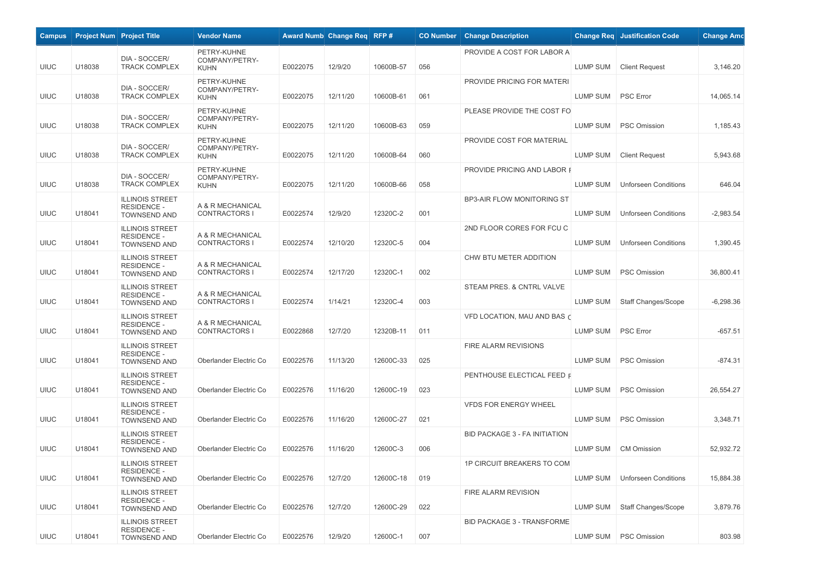| <b>Campus</b> |        | <b>Project Num Project Title</b>                                    | <b>Vendor Name</b>                           |          | Award Numb Change Req RFP # |           |     | <b>CO Number   Change Description</b> |                 | <b>Change Reg</b> Justification Code | <b>Change Amc</b> |
|---------------|--------|---------------------------------------------------------------------|----------------------------------------------|----------|-----------------------------|-----------|-----|---------------------------------------|-----------------|--------------------------------------|-------------------|
| <b>UIUC</b>   | U18038 | DIA - SOCCER/<br><b>TRACK COMPLEX</b>                               | PETRY-KUHNE<br>COMPANY/PETRY-<br><b>KUHN</b> | E0022075 | 12/9/20                     | 10600B-57 | 056 | PROVIDE A COST FOR LABOR A            | LUMP SUM        | <b>Client Request</b>                | 3,146.20          |
| <b>UIUC</b>   | U18038 | DIA - SOCCER/<br><b>TRACK COMPLEX</b>                               | PETRY-KUHNE<br>COMPANY/PETRY-<br><b>KUHN</b> | E0022075 | 12/11/20                    | 10600B-61 | 061 | PROVIDE PRICING FOR MATERI            | LUMP SUM        | <b>PSC</b> Error                     | 14,065.14         |
| <b>UIUC</b>   | U18038 | DIA - SOCCER/<br><b>TRACK COMPLEX</b>                               | PETRY-KUHNE<br>COMPANY/PETRY-<br><b>KUHN</b> | E0022075 | 12/11/20                    | 10600B-63 | 059 | PLEASE PROVIDE THE COST FO            | LUMP SUM        | <b>PSC Omission</b>                  | 1,185.43          |
| <b>UIUC</b>   | U18038 | DIA - SOCCER/<br><b>TRACK COMPLEX</b>                               | PETRY-KUHNE<br>COMPANY/PETRY-<br><b>KUHN</b> | E0022075 | 12/11/20                    | 10600B-64 | 060 | PROVIDE COST FOR MATERIAL             | LUMP SUM        | <b>Client Request</b>                | 5,943.68          |
| <b>UIUC</b>   | U18038 | DIA - SOCCER/<br><b>TRACK COMPLEX</b>                               | PETRY-KUHNE<br>COMPANY/PETRY-<br><b>KUHN</b> | E0022075 | 12/11/20                    | 10600B-66 | 058 | <b>PROVIDE PRICING AND LABOR F</b>    | LUMP SUM        | <b>Unforseen Conditions</b>          | 646.04            |
| <b>UIUC</b>   | U18041 | <b>ILLINOIS STREET</b><br><b>RESIDENCE -</b><br><b>TOWNSEND AND</b> | A & R MECHANICAL<br>CONTRACTORS I            | E0022574 | 12/9/20                     | 12320C-2  | 001 | <b>BP3-AIR FLOW MONITORING ST</b>     | LUMP SUM        | <b>Unforseen Conditions</b>          | $-2,983.54$       |
| <b>UIUC</b>   | U18041 | <b>ILLINOIS STREET</b><br><b>RESIDENCE -</b><br><b>TOWNSEND AND</b> | A & R MECHANICAL<br>CONTRACTORS I            | E0022574 | 12/10/20                    | 12320C-5  | 004 | 2ND FLOOR CORES FOR FCU C             | LUMP SUM        | <b>Unforseen Conditions</b>          | 1,390.45          |
| <b>UIUC</b>   | U18041 | <b>ILLINOIS STREET</b><br><b>RESIDENCE -</b><br><b>TOWNSEND AND</b> | A & R MECHANICAL<br>CONTRACTORS I            | E0022574 | 12/17/20                    | 12320C-1  | 002 | CHW BTU METER ADDITION                | <b>LUMP SUM</b> | <b>PSC Omission</b>                  | 36,800.41         |
| <b>UIUC</b>   | U18041 | <b>ILLINOIS STREET</b><br><b>RESIDENCE -</b><br><b>TOWNSEND AND</b> | A & R MECHANICAL<br><b>CONTRACTORS I</b>     | E0022574 | 1/14/21                     | 12320C-4  | 003 | STEAM PRES. & CNTRL VALVE             | LUMP SUM        | <b>Staff Changes/Scope</b>           | $-6,298.36$       |
| <b>UIUC</b>   | U18041 | <b>ILLINOIS STREET</b><br><b>RESIDENCE -</b><br><b>TOWNSEND AND</b> | A & R MECHANICAL<br><b>CONTRACTORS I</b>     | E0022868 | 12/7/20                     | 12320B-11 | 011 | VFD LOCATION, MAU AND BAS (           | LUMP SUM        | <b>PSC</b> Error                     | $-657.51$         |
| <b>UIUC</b>   | U18041 | <b>ILLINOIS STREET</b><br><b>RESIDENCE -</b><br><b>TOWNSEND AND</b> | Oberlander Electric Co                       | E0022576 | 11/13/20                    | 12600C-33 | 025 | FIRE ALARM REVISIONS                  | LUMP SUM        | <b>PSC Omission</b>                  | $-874.31$         |
| <b>UIUC</b>   | U18041 | <b>ILLINOIS STREET</b><br><b>RESIDENCE -</b><br><b>TOWNSEND AND</b> | Oberlander Electric Co                       | E0022576 | 11/16/20                    | 12600C-19 | 023 | PENTHOUSE ELECTICAL FEED F            | <b>LUMP SUM</b> | PSC Omission                         | 26,554.27         |
| <b>UIUC</b>   | U18041 | <b>ILLINOIS STREET</b><br><b>RESIDENCE -</b><br><b>TOWNSEND AND</b> | Oberlander Electric Co                       | E0022576 | 11/16/20                    | 12600C-27 | 021 | <b>VFDS FOR ENERGY WHEEL</b>          | <b>LUMP SUM</b> | <b>PSC Omission</b>                  | 3,348.71          |
| <b>UIUC</b>   | U18041 | <b>ILLINOIS STREET</b><br><b>RESIDENCE -</b><br><b>TOWNSEND AND</b> | Oberlander Electric Co                       | E0022576 | 11/16/20                    | 12600C-3  | 006 | <b>BID PACKAGE 3 - FA INITIATION</b>  | <b>LUMP SUM</b> | <b>CM Omission</b>                   | 52,932.72         |
| <b>UIUC</b>   | U18041 | <b>ILLINOIS STREET</b><br><b>RESIDENCE -</b><br><b>TOWNSEND AND</b> | Oberlander Electric Co                       | E0022576 | 12/7/20                     | 12600C-18 | 019 | 1P CIRCUIT BREAKERS TO COM            |                 | LUMP SUM Unforseen Conditions        | 15,884.38         |
| <b>UIUC</b>   | U18041 | <b>ILLINOIS STREET</b><br><b>RESIDENCE -</b><br><b>TOWNSEND AND</b> | Oberlander Electric Co                       | E0022576 | 12/7/20                     | 12600C-29 | 022 | FIRE ALARM REVISION                   | LUMP SUM        | <b>Staff Changes/Scope</b>           | 3,879.76          |
| <b>UIUC</b>   | U18041 | <b>ILLINOIS STREET</b><br><b>RESIDENCE -</b><br><b>TOWNSEND AND</b> | Oberlander Electric Co                       | E0022576 | 12/9/20                     | 12600C-1  | 007 | <b>BID PACKAGE 3 - TRANSFORME</b>     |                 | LUMP SUM PSC Omission                | 803.98            |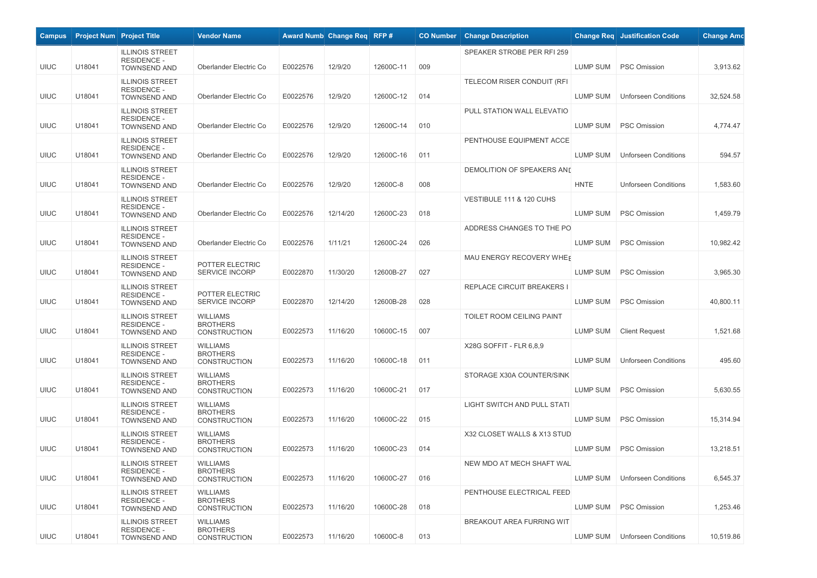| Campus      |        | <b>Project Num</b> Project Title                                    | <b>Vendor Name</b>                                        |          | Award Numb Change Req RFP # |           |     | <b>CO Number</b> Change Description |                 | <b>Change Reg</b> Justification Code | <b>Change Amc</b> |
|-------------|--------|---------------------------------------------------------------------|-----------------------------------------------------------|----------|-----------------------------|-----------|-----|-------------------------------------|-----------------|--------------------------------------|-------------------|
| <b>UIUC</b> | U18041 | <b>ILLINOIS STREET</b><br><b>RESIDENCE -</b><br><b>TOWNSEND AND</b> | Oberlander Electric Co                                    | E0022576 | 12/9/20                     | 12600C-11 | 009 | SPEAKER STROBE PER RFI 259          | LUMP SUM        | <b>PSC Omission</b>                  | 3,913.62          |
| <b>UIUC</b> | U18041 | <b>ILLINOIS STREET</b><br><b>RESIDENCE -</b><br><b>TOWNSEND AND</b> | Oberlander Electric Co                                    | E0022576 | 12/9/20                     | 12600C-12 | 014 | TELECOM RISER CONDUIT (RFI          | LUMP SUM        | <b>Unforseen Conditions</b>          | 32,524.58         |
| <b>UIUC</b> | U18041 | <b>ILLINOIS STREET</b><br><b>RESIDENCE -</b><br><b>TOWNSEND AND</b> | Oberlander Electric Co                                    | E0022576 | 12/9/20                     | 12600C-14 | 010 | PULL STATION WALL ELEVATIO          | LUMP SUM        | <b>PSC Omission</b>                  | 4,774.47          |
| <b>UIUC</b> | U18041 | <b>ILLINOIS STREET</b><br><b>RESIDENCE -</b><br><b>TOWNSEND AND</b> | Oberlander Electric Co                                    | E0022576 | 12/9/20                     | 12600C-16 | 011 | PENTHOUSE EQUIPMENT ACCE            | <b>LUMP SUM</b> | <b>Unforseen Conditions</b>          | 594.57            |
| <b>UIUC</b> | U18041 | <b>ILLINOIS STREET</b><br><b>RESIDENCE -</b><br><b>TOWNSEND AND</b> | Oberlander Electric Co                                    | E0022576 | 12/9/20                     | 12600C-8  | 008 | DEMOLITION OF SPEAKERS AND          | <b>HNTE</b>     | <b>Unforseen Conditions</b>          | 1,583.60          |
| <b>UIUC</b> | U18041 | <b>ILLINOIS STREET</b><br><b>RESIDENCE -</b><br><b>TOWNSEND AND</b> | Oberlander Electric Co                                    | E0022576 | 12/14/20                    | 12600C-23 | 018 | VESTIBULE 111 & 120 CUHS            | LUMP SUM        | <b>PSC Omission</b>                  | 1,459.79          |
| <b>UIUC</b> | U18041 | <b>ILLINOIS STREET</b><br><b>RESIDENCE -</b><br><b>TOWNSEND AND</b> | Oberlander Electric Co                                    | E0022576 | 1/11/21                     | 12600C-24 | 026 | ADDRESS CHANGES TO THE PO           | LUMP SUM        | <b>PSC Omission</b>                  | 10,982.42         |
| <b>UIUC</b> | U18041 | <b>ILLINOIS STREET</b><br><b>RESIDENCE -</b><br><b>TOWNSEND AND</b> | POTTER ELECTRIC<br><b>SERVICE INCORP</b>                  | E0022870 | 11/30/20                    | 12600B-27 | 027 | MAU ENERGY RECOVERY WHEE            | <b>LUMP SUM</b> | <b>PSC Omission</b>                  | 3,965.30          |
| <b>UIUC</b> | U18041 | <b>ILLINOIS STREET</b><br><b>RESIDENCE -</b><br><b>TOWNSEND AND</b> | POTTER ELECTRIC<br><b>SERVICE INCORP</b>                  | E0022870 | 12/14/20                    | 12600B-28 | 028 | REPLACE CIRCUIT BREAKERS I          | <b>LUMP SUM</b> | <b>PSC Omission</b>                  | 40,800.11         |
| <b>UIUC</b> | U18041 | <b>ILLINOIS STREET</b><br><b>RESIDENCE -</b><br><b>TOWNSEND AND</b> | <b>WILLIAMS</b><br><b>BROTHERS</b><br><b>CONSTRUCTION</b> | E0022573 | 11/16/20                    | 10600C-15 | 007 | <b>TOILET ROOM CEILING PAINT</b>    | <b>LUMP SUM</b> | <b>Client Request</b>                | 1,521.68          |
| <b>UIUC</b> | U18041 | <b>ILLINOIS STREET</b><br><b>RESIDENCE -</b><br><b>TOWNSEND AND</b> | <b>WILLIAMS</b><br><b>BROTHERS</b><br><b>CONSTRUCTION</b> | E0022573 | 11/16/20                    | 10600C-18 | 011 | X28G SOFFIT - FLR 6,8,9             | LUMP SUM        | <b>Unforseen Conditions</b>          | 495.60            |
| <b>UIUC</b> | U18041 | <b>ILLINOIS STREET</b><br><b>RESIDENCE -</b><br><b>TOWNSEND AND</b> | <b>WILLIAMS</b><br><b>BROTHERS</b><br><b>CONSTRUCTION</b> | E0022573 | 11/16/20                    | 10600C-21 | 017 | STORAGE X30A COUNTER/SINK           | LUMP SUM        | <b>PSC Omission</b>                  | 5,630.55          |
| <b>UIUC</b> | U18041 | <b>ILLINOIS STREET</b><br><b>RESIDENCE -</b><br><b>TOWNSEND AND</b> | <b>WILLIAMS</b><br><b>BROTHERS</b><br><b>CONSTRUCTION</b> | E0022573 | 11/16/20                    | 10600C-22 | 015 | LIGHT SWITCH AND PULL STATI         | LUMP SUM        | <b>PSC Omission</b>                  | 15,314.94         |
| <b>UIUC</b> | U18041 | <b>ILLINOIS STREET</b><br><b>RESIDENCE -</b><br><b>TOWNSEND AND</b> | <b>WILLIAMS</b><br><b>BROTHERS</b><br><b>CONSTRUCTION</b> | E0022573 | 11/16/20                    | 10600C-23 | 014 | X32 CLOSET WALLS & X13 STUD         | <b>LUMP SUM</b> | <b>PSC Omission</b>                  | 13,218.51         |
| <b>UIUC</b> | U18041 | <b>ILLINOIS STREET</b><br><b>RESIDENCE -</b><br><b>TOWNSEND AND</b> | WILLIAMS<br><b>BROTHERS</b><br><b>CONSTRUCTION</b>        | E0022573 | 11/16/20                    | 10600C-27 | 016 | NEW MDO AT MECH SHAFT WAL           |                 | LUMP SUM   Unforseen Conditions      | 6,545.37          |
| <b>UIUC</b> | U18041 | <b>ILLINOIS STREET</b><br><b>RESIDENCE -</b><br><b>TOWNSEND AND</b> | <b>WILLIAMS</b><br><b>BROTHERS</b><br><b>CONSTRUCTION</b> | E0022573 | 11/16/20                    | 10600C-28 | 018 | PENTHOUSE ELECTRICAL FEED           |                 | LUMP SUM  PSC Omission               | 1,253.46          |
| <b>UIUC</b> | U18041 | <b>ILLINOIS STREET</b><br><b>RESIDENCE -</b><br><b>TOWNSEND AND</b> | <b>WILLIAMS</b><br><b>BROTHERS</b><br><b>CONSTRUCTION</b> | E0022573 | 11/16/20                    | 10600C-8  | 013 | <b>BREAKOUT AREA FURRING WIT</b>    |                 | LUMP SUM Unforseen Conditions        | 10,519.86         |